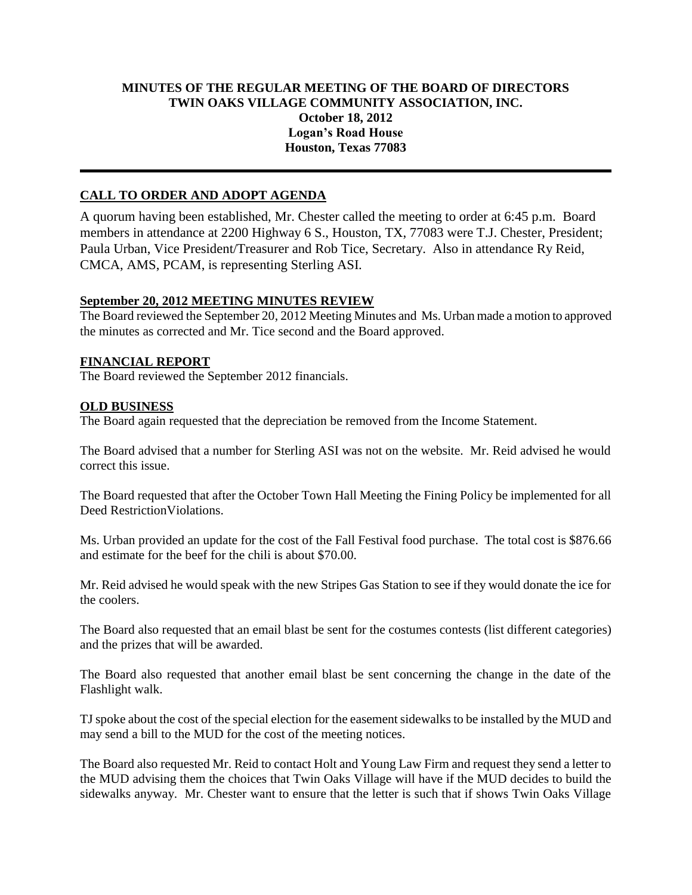## **MINUTES OF THE REGULAR MEETING OF THE BOARD OF DIRECTORS TWIN OAKS VILLAGE COMMUNITY ASSOCIATION, INC. October 18, 2012 Logan's Road House Houston, Texas 77083**

# **CALL TO ORDER AND ADOPT AGENDA**

A quorum having been established, Mr. Chester called the meeting to order at 6:45 p.m. Board members in attendance at 2200 Highway 6 S., Houston, TX, 77083 were T.J. Chester, President; Paula Urban, Vice President/Treasurer and Rob Tice, Secretary. Also in attendance Ry Reid, CMCA, AMS, PCAM, is representing Sterling ASI.

### **September 20, 2012 MEETING MINUTES REVIEW**

The Board reviewed the September 20, 2012 Meeting Minutes and Ms. Urban made a motion to approved the minutes as corrected and Mr. Tice second and the Board approved.

### **FINANCIAL REPORT**

The Board reviewed the September 2012 financials.

### **OLD BUSINESS**

The Board again requested that the depreciation be removed from the Income Statement.

The Board advised that a number for Sterling ASI was not on the website. Mr. Reid advised he would correct this issue.

The Board requested that after the October Town Hall Meeting the Fining Policy be implemented for all Deed RestrictionViolations.

Ms. Urban provided an update for the cost of the Fall Festival food purchase. The total cost is \$876.66 and estimate for the beef for the chili is about \$70.00.

Mr. Reid advised he would speak with the new Stripes Gas Station to see if they would donate the ice for the coolers.

The Board also requested that an email blast be sent for the costumes contests (list different categories) and the prizes that will be awarded.

The Board also requested that another email blast be sent concerning the change in the date of the Flashlight walk.

TJ spoke about the cost of the special election for the easement sidewalks to be installed by the MUD and may send a bill to the MUD for the cost of the meeting notices.

The Board also requested Mr. Reid to contact Holt and Young Law Firm and request they send a letter to the MUD advising them the choices that Twin Oaks Village will have if the MUD decides to build the sidewalks anyway. Mr. Chester want to ensure that the letter is such that if shows Twin Oaks Village